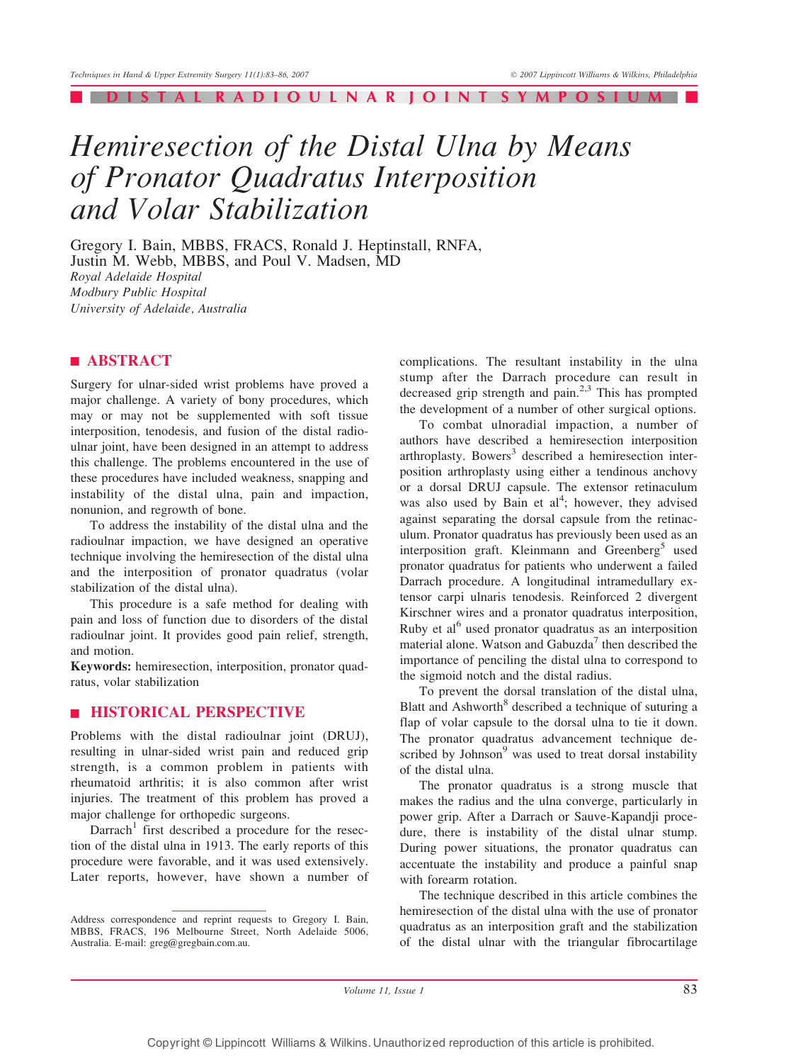#### | DISTAL RADIOULNAR JOINT SYMPOSIUM |

# Hemiresection of the Distal Ulna by Means of Pronator Quadratus Interposition and Volar Stabilization

Gregory I. Bain, MBBS, FRACS, Ronald J. Heptinstall, RNFA, Justin M. Webb, MBBS, and Poul V. Madsen, MD Royal Adelaide Hospital Modbury Public Hospital University of Adelaide, Australia

# **EXPLASS TRACT**

Surgery for ulnar-sided wrist problems have proved a major challenge. A variety of bony procedures, which may or may not be supplemented with soft tissue interposition, tenodesis, and fusion of the distal radioulnar joint, have been designed in an attempt to address this challenge. The problems encountered in the use of these procedures have included weakness, snapping and instability of the distal ulna, pain and impaction, nonunion, and regrowth of bone.

To address the instability of the distal ulna and the radioulnar impaction, we have designed an operative technique involving the hemiresection of the distal ulna and the interposition of pronator quadratus (volar stabilization of the distal ulna).

This procedure is a safe method for dealing with pain and loss of function due to disorders of the distal radioulnar joint. It provides good pain relief, strength, and motion.

Keywords: hemiresection, interposition, pronator quadratus, volar stabilization

## **E HISTORICAL PERSPECTIVE**

Problems with the distal radioulnar joint (DRUJ), resulting in ulnar-sided wrist pain and reduced grip strength, is a common problem in patients with rheumatoid arthritis; it is also common after wrist injuries. The treatment of this problem has proved a major challenge for orthopedic surgeons.

Darrach<sup>1</sup> first described a procedure for the resection of the distal ulna in 1913. The early reports of this procedure were favorable, and it was used extensively. Later reports, however, have shown a number of complications. The resultant instability in the ulna stump after the Darrach procedure can result in decreased grip strength and  $\bar{\text{pain}}^{2,3}$  This has prompted the development of a number of other surgical options.

To combat ulnoradial impaction, a number of authors have described a hemiresection interposition arthroplasty. Bowers<sup>3</sup> described a hemiresection interposition arthroplasty using either a tendinous anchovy or a dorsal DRUJ capsule. The extensor retinaculum was also used by Bain et  $al<sup>4</sup>$ ; however, they advised against separating the dorsal capsule from the retinaculum. Pronator quadratus has previously been used as an interposition graft. Kleinmann and Greenberg<sup>5</sup> used pronator quadratus for patients who underwent a failed Darrach procedure. A longitudinal intramedullary extensor carpi ulnaris tenodesis. Reinforced 2 divergent Kirschner wires and a pronator quadratus interposition, Ruby et al<sup>6</sup> used pronator quadratus as an interposition material alone. Watson and  $Ga$ buzda<sup>7</sup> then described the importance of penciling the distal ulna to correspond to the sigmoid notch and the distal radius.

To prevent the dorsal translation of the distal ulna, Blatt and Ashworth<sup>8</sup> described a technique of suturing a flap of volar capsule to the dorsal ulna to tie it down. The pronator quadratus advancement technique described by Johnson<sup>9</sup> was used to treat dorsal instability of the distal ulna.

The pronator quadratus is a strong muscle that makes the radius and the ulna converge, particularly in power grip. After a Darrach or Sauve-Kapandji procedure, there is instability of the distal ulnar stump. During power situations, the pronator quadratus can accentuate the instability and produce a painful snap with forearm rotation.

The technique described in this article combines the hemiresection of the distal ulna with the use of pronator quadratus as an interposition graft and the stabilization of the distal ulnar with the triangular fibrocartilage

Volume 11, Issue  $1$  83

Address correspondence and reprint requests to Gregory I. Bain, MBBS, FRACS, 196 Melbourne Street, North Adelaide 5006, Australia. E-mail: greg@gregbain.com.au.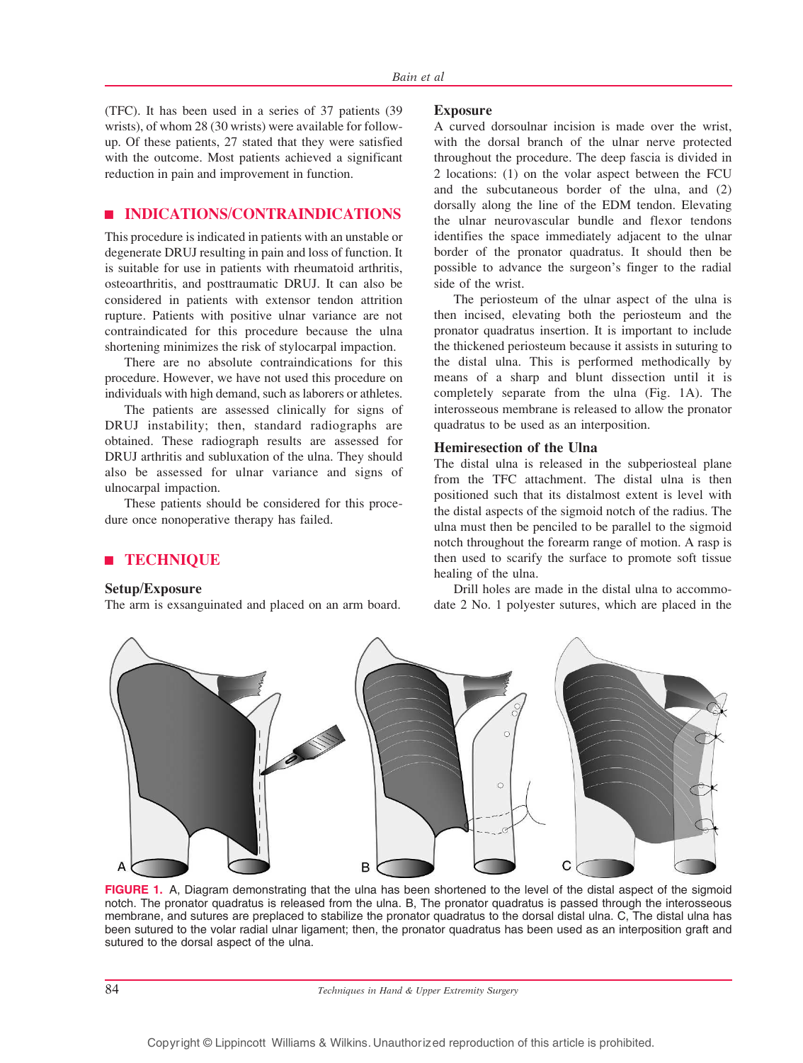(TFC). It has been used in a series of 37 patients (39 wrists), of whom 28 (30 wrists) were available for followup. Of these patients, 27 stated that they were satisfied with the outcome. Most patients achieved a significant reduction in pain and improvement in function.

# **EXPIDICATIONS/CONTRAINDICATIONS**

This procedure is indicated in patients with an unstable or degenerate DRUJ resulting in pain and loss of function. It is suitable for use in patients with rheumatoid arthritis, osteoarthritis, and posttraumatic DRUJ. It can also be considered in patients with extensor tendon attrition rupture. Patients with positive ulnar variance are not contraindicated for this procedure because the ulna shortening minimizes the risk of stylocarpal impaction.

There are no absolute contraindications for this procedure. However, we have not used this procedure on individuals with high demand, such as laborers or athletes.

The patients are assessed clinically for signs of DRUJ instability; then, standard radiographs are obtained. These radiograph results are assessed for DRUJ arthritis and subluxation of the ulna. They should also be assessed for ulnar variance and signs of ulnocarpal impaction.

These patients should be considered for this procedure once nonoperative therapy has failed.

## | TECHNIQUE

#### Setup/Exposure

The arm is exsanguinated and placed on an arm board.

#### Exposure

A curved dorsoulnar incision is made over the wrist, with the dorsal branch of the ulnar nerve protected throughout the procedure. The deep fascia is divided in 2 locations: (1) on the volar aspect between the FCU and the subcutaneous border of the ulna, and (2) dorsally along the line of the EDM tendon. Elevating the ulnar neurovascular bundle and flexor tendons identifies the space immediately adjacent to the ulnar border of the pronator quadratus. It should then be possible to advance the surgeon`s finger to the radial side of the wrist.

The periosteum of the ulnar aspect of the ulna is then incised, elevating both the periosteum and the pronator quadratus insertion. It is important to include the thickened periosteum because it assists in suturing to the distal ulna. This is performed methodically by means of a sharp and blunt dissection until it is completely separate from the ulna (Fig. 1A). The interosseous membrane is released to allow the pronator quadratus to be used as an interposition.

#### Hemiresection of the Ulna

The distal ulna is released in the subperiosteal plane from the TFC attachment. The distal ulna is then positioned such that its distalmost extent is level with the distal aspects of the sigmoid notch of the radius. The ulna must then be penciled to be parallel to the sigmoid notch throughout the forearm range of motion. A rasp is then used to scarify the surface to promote soft tissue healing of the ulna.

Drill holes are made in the distal ulna to accommodate 2 No. 1 polyester sutures, which are placed in the



FIGURE 1. A, Diagram demonstrating that the ulna has been shortened to the level of the distal aspect of the sigmoid notch. The pronator quadratus is released from the ulna. B, The pronator quadratus is passed through the interosseous membrane, and sutures are preplaced to stabilize the pronator quadratus to the dorsal distal ulna. C, The distal ulna has been sutured to the volar radial ulnar ligament; then, the pronator quadratus has been used as an interposition graft and sutured to the dorsal aspect of the ulna.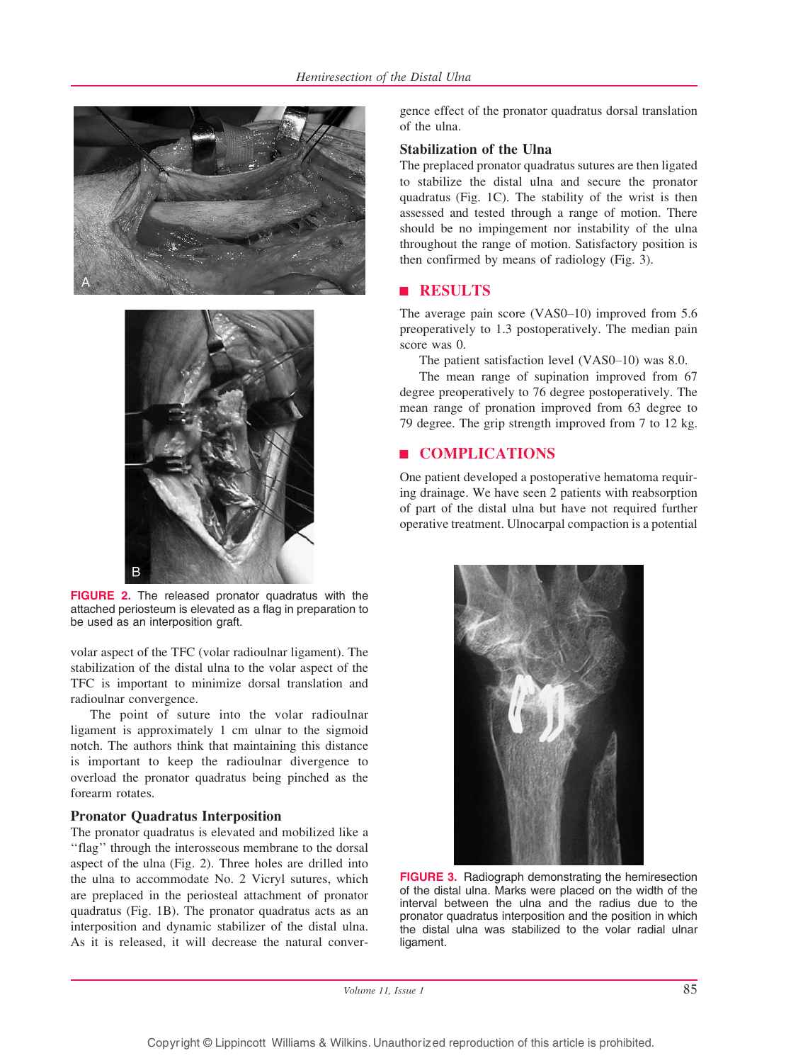



FIGURE 2. The released pronator quadratus with the attached periosteum is elevated as a flag in preparation to be used as an interposition graft.

volar aspect of the TFC (volar radioulnar ligament). The stabilization of the distal ulna to the volar aspect of the TFC is important to minimize dorsal translation and radioulnar convergence.

The point of suture into the volar radioulnar ligament is approximately 1 cm ulnar to the sigmoid notch. The authors think that maintaining this distance is important to keep the radioulnar divergence to overload the pronator quadratus being pinched as the forearm rotates.

## Pronator Quadratus Interposition

The pronator quadratus is elevated and mobilized like a ''flag'' through the interosseous membrane to the dorsal aspect of the ulna (Fig. 2). Three holes are drilled into the ulna to accommodate No. 2 Vicryl sutures, which are preplaced in the periosteal attachment of pronator quadratus (Fig. 1B). The pronator quadratus acts as an interposition and dynamic stabilizer of the distal ulna. As it is released, it will decrease the natural convergence effect of the pronator quadratus dorsal translation of the ulna.

## Stabilization of the Ulna

The preplaced pronator quadratus sutures are then ligated to stabilize the distal ulna and secure the pronator quadratus (Fig. 1C). The stability of the wrist is then assessed and tested through a range of motion. There should be no impingement nor instability of the ulna throughout the range of motion. Satisfactory position is then confirmed by means of radiology (Fig. 3).

# **RESULTS**

The average pain score  $(VAS0-10)$  improved from 5.6 preoperatively to 1.3 postoperatively. The median pain score was 0.

The patient satisfaction level  $(VAS0-10)$  was 8.0.

The mean range of supination improved from 67 degree preoperatively to 76 degree postoperatively. The mean range of pronation improved from 63 degree to 79 degree. The grip strength improved from 7 to 12 kg.

# | COMPLICATIONS

One patient developed a postoperative hematoma requiring drainage. We have seen 2 patients with reabsorption of part of the distal ulna but have not required further operative treatment. Ulnocarpal compaction is a potential



FIGURE 3. Radiograph demonstrating the hemiresection of the distal ulna. Marks were placed on the width of the interval between the ulna and the radius due to the pronator quadratus interposition and the position in which the distal ulna was stabilized to the volar radial ulnar ligament.

Volume 11, Issue 1 85